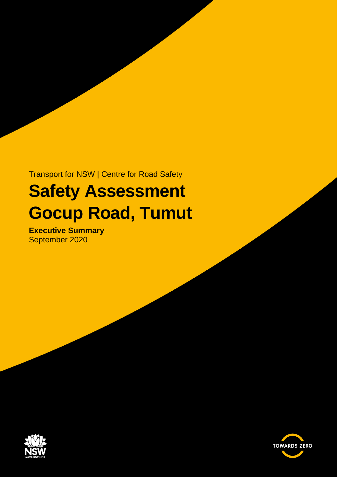Transport for NSW | Centre for Road Safety

## **Safety Assessment Gocup Road, Tumut**

**Executive Summary** September 2020



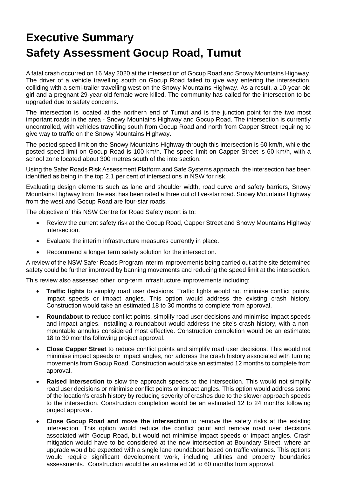## **Executive Summary Safety Assessment Gocup Road, Tumut**

A fatal crash occurred on 16 May 2020 at the intersection of Gocup Road and Snowy Mountains Highway. The driver of a vehicle travelling south on Gocup Road failed to give way entering the intersection, colliding with a semi-trailer travelling west on the Snowy Mountains Highway. As a result, a 10-year-old girl and a pregnant 29-year-old female were killed. The community has called for the intersection to be upgraded due to safety concerns.

The intersection is located at the northern end of Tumut and is the junction point for the two most important roads in the area - Snowy Mountains Highway and Gocup Road. The intersection is currently uncontrolled, with vehicles travelling south from Gocup Road and north from Capper Street requiring to give way to traffic on the Snowy Mountains Highway.

The posted speed limit on the Snowy Mountains Highway through this intersection is 60 km/h, while the posted speed limit on Gocup Road is 100 km/h. The speed limit on Capper Street is 60 km/h, with a school zone located about 300 metres south of the intersection.

Using the Safer Roads Risk Assessment Platform and Safe Systems approach, the intersection has been identified as being in the top 2.1 per cent of intersections in NSW for risk.

Evaluating design elements such as lane and shoulder width, road curve and safety barriers, Snowy Mountains Highway from the east has been rated a three out of five-star road. Snowy Mountains Highway from the west and Gocup Road are four-star roads.

The objective of this NSW Centre for Road Safety report is to:

- Review the current safety risk at the Gocup Road, Capper Street and Snowy Mountains Highway intersection.
- Evaluate the interim infrastructure measures currently in place.
- Recommend a longer term safety solution for the intersection.

A review of the NSW Safer Roads Program interim improvements being carried out at the site determined safety could be further improved by banning movements and reducing the speed limit at the intersection.

This review also assessed other long-term infrastructure improvements including:

- **Traffic lights** to simplify road user decisions. Traffic lights would not minimise conflict points, impact speeds or impact angles. This option would address the existing crash history. Construction would take an estimated 18 to 30 months to complete from approval.
- **Roundabout** to reduce conflict points, simplify road user decisions and minimise impact speeds and impact angles. Installing a roundabout would address the site's crash history, with a nonmountable annulus considered most effective. Construction completion would be an estimated 18 to 30 months following project approval.
- **Close Capper Street** to reduce conflict points and simplify road user decisions. This would not minimise impact speeds or impact angles, nor address the crash history associated with turning movements from Gocup Road. Construction would take an estimated 12 months to complete from approval.
- **Raised intersection** to slow the approach speeds to the intersection. This would not simplify road user decisions or minimise conflict points or impact angles. This option would address some of the location's crash history by reducing severity of crashes due to the slower approach speeds to the intersection. Construction completion would be an estimated 12 to 24 months following project approval.
- **Close Gocup Road and move the intersection** to remove the safety risks at the existing intersection. This option would reduce the conflict point and remove road user decisions associated with Gocup Road, but would not minimise impact speeds or impact angles. Crash mitigation would have to be considered at the new intersection at Boundary Street, where an upgrade would be expected with a single lane roundabout based on traffic volumes. This options would require significant development work, including utilities and property boundaries assessments. Construction would be an estimated 36 to 60 months from approval.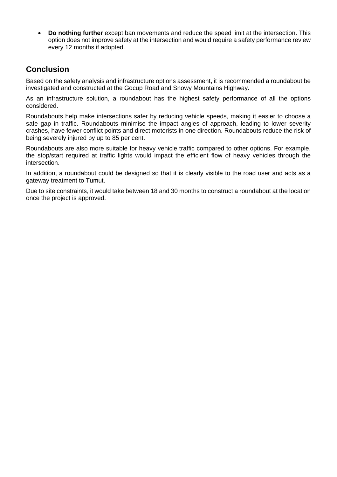• **Do nothing further** except ban movements and reduce the speed limit at the intersection. This option does not improve safety at the intersection and would require a safety performance review every 12 months if adopted.

## **Conclusion**

Based on the safety analysis and infrastructure options assessment, it is recommended a roundabout be investigated and constructed at the Gocup Road and Snowy Mountains Highway.

As an infrastructure solution, a roundabout has the highest safety performance of all the options considered.

Roundabouts help make intersections safer by reducing vehicle speeds, making it easier to choose a safe gap in traffic. Roundabouts minimise the impact angles of approach, leading to lower severity crashes, have fewer conflict points and direct motorists in one direction. Roundabouts reduce the risk of being severely injured by up to 85 per cent.

Roundabouts are also more suitable for heavy vehicle traffic compared to other options. For example, the stop/start required at traffic lights would impact the efficient flow of heavy vehicles through the intersection.

In addition, a roundabout could be designed so that it is clearly visible to the road user and acts as a gateway treatment to Tumut.

Due to site constraints, it would take between 18 and 30 months to construct a roundabout at the location once the project is approved.